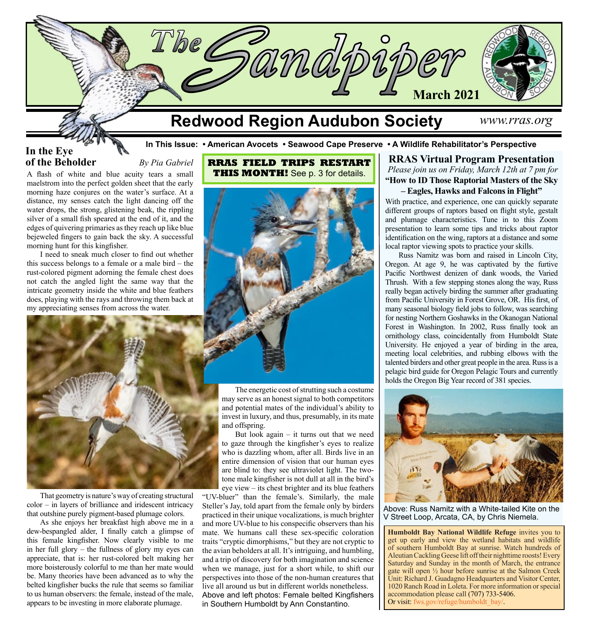

# **Redwood Region Audubon Society** *www.rras.org*

**In This Issue: • American Avocets • Seawood Cape Preserve • A Wildlife Rehabilitator's Perspective**

# **In the Eye of the Beholder** *By Pia Gabriel*

A flash of white and blue acuity tears a small maelstrom into the perfect golden sheet that the early morning haze conjures on the water's surface. At a distance, my senses catch the light dancing off the water drops, the strong, glistening beak, the rippling silver of a small fish speared at the end of it, and the edges of quivering primaries as they reach up like blue bejeweled fingers to gain back the sky. A successful morning hunt for this kingfisher.

I need to sneak much closer to find out whether this success belongs to a female or a male bird – the rust-colored pigment adorning the female chest does not catch the angled light the same way that the intricate geometry inside the white and blue feathers does, playing with the rays and throwing them back at my appreciating senses from across the water.



That geometry is nature's way of creating structural color – in layers of brilliance and iridescent intricacy that outshine purely pigment-based plumage colors.

As she enjoys her breakfast high above me in a dew-bespangled alder, I finally catch a glimpse of this female kingfisher. Now clearly visible to me in her full glory – the fullness of glory my eyes can appreciate, that is: her rust-colored belt making her more boisterously colorful to me than her mate would be. Many theories have been advanced as to why the belted kingfisher bucks the rule that seems so familiar to us human observers: the female, instead of the male, appears to be investing in more elaborate plumage.

**RRAS FIELD TRIPS RESTART THIS MONTH!** See p. 3 for details.

The energetic cost of strutting such a costume may serve as an honest signal to both competitors and potential mates of the individual's ability to invest in luxury, and thus, presumably, in its mate and offspring.

But look again  $-$  it turns out that we need to gaze through the kingfisher's eyes to realize who is dazzling whom, after all. Birds live in an entire dimension of vision that our human eyes are blind to: they see ultraviolet light. The twotone male kingfisher is not dull at all in the bird's eye view – its chest brighter and its blue feathers

"UV-bluer" than the female's. Similarly, the male Steller's Jay, told apart from the female only by birders practiced in their unique vocalizations, is much brighter and more UV-blue to his conspecific observers than his mate. We humans call these sex-specific coloration traits "cryptic dimorphisms," but they are not cryptic to the avian beholders at all. It's intriguing, and humbling, and a trip of discovery for both imagination and science when we manage, just for a short while, to shift our perspectives into those of the non-human creatures that live all around us but in different worlds nonetheless. Above and left photos: Female belted Kingfishers in Southern Humboldt by Ann Constantino.

### **RRAS Virtual Program Presentation** *Please join us on Friday, March 12th at 7 pm for*  **"How to ID Those Raptorial Masters of the Sky – Eagles, Hawks and Falcons in Flight"**

With practice, and experience, one can quickly separate different groups of raptors based on flight style, gestalt and plumage characteristics. Tune in to this Zoom presentation to learn some tips and tricks about raptor identification on the wing, raptors at a distance and some local raptor viewing spots to practice your skills.

Russ Namitz was born and raised in Lincoln City, Oregon. At age 9, he was captivated by the furtive Pacific Northwest denizen of dank woods, the Varied Thrush. With a few stepping stones along the way, Russ really began actively birding the summer after graduating from Pacific University in Forest Grove, OR. His first, of many seasonal biology field jobs to follow, was searching for nesting Northern Goshawks in the Okanogan National Forest in Washington. In 2002, Russ finally took an ornithology class, coincidentally from Humboldt State University. He enjoyed a year of birding in the area, meeting local celebrities, and rubbing elbows with the talented birders and other great people in the area. Russ is a pelagic bird guide for Oregon Pelagic Tours and currently holds the Oregon Big Year record of 381 species.



Above: Russ Namitz with a White-tailed Kite on the V Street Loop, Arcata, CA, by Chris Niemela.

**Humboldt Bay National Wildlife Refuge** invites you to get up early and view the wetland habitats and wildlife of southern Humboldt Bay at sunrise. Watch hundreds of Aleutian Cackling Geese lift off their nighttime roosts! Every Saturday and Sunday in the month of March, the entrance gate will open ½ hour before sunrise at the Salmon Creek Unit: Richard J. Guadagno Headquarters and Visitor Center, 1020 Ranch Road in Loleta. For more information or special accommodation please call [\(707\) 733-5406.](tel:%28707%29 733-5406) Or visit: [fws.gov/refuge/humboldt\\_bay/](http://www.fws.gov/refuge/humboldt_bay/).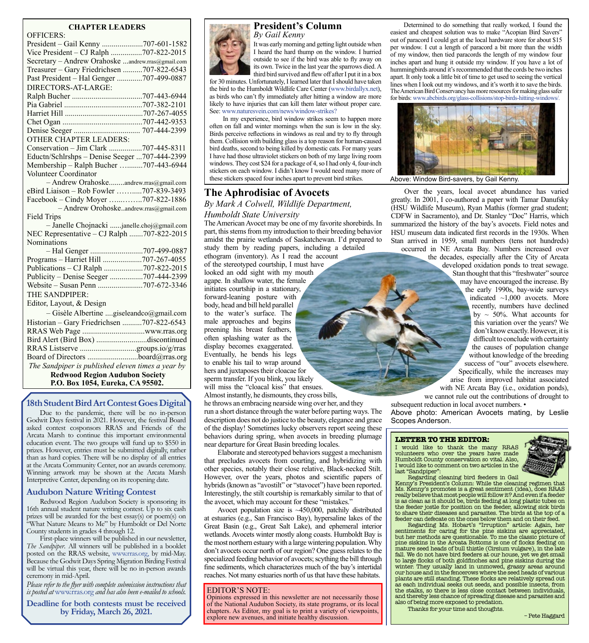## **CHAPTER LEADERS**

| CILAI TEN DEADENS                                 |  |
|---------------------------------------------------|--|
| <b>OFFICERS:</b>                                  |  |
|                                                   |  |
| Vice President - CJ Ralph 707-822-2015            |  |
| Secretary - Andrew Orahoske andrew.rras@gmail.com |  |
| Treasurer - Gary Friedrichsen 707-822-6543        |  |
| Past President - Hal Genger 707-499-0887          |  |
| DIRECTORS-AT-LARGE:                               |  |
|                                                   |  |
|                                                   |  |
|                                                   |  |
|                                                   |  |
|                                                   |  |
| <b>OTHER CHAPTER LEADERS:</b>                     |  |
| Conservation - Jim Clark 707-445-8311             |  |
| Eductn/Schlrshps - Denise Seeger 707-444-2399     |  |
| Membership - Ralph Bucher 707-443-6944            |  |
| Volunteer Coordinator                             |  |
| - Andrew Orahoskeandrew.rras@gmail.com            |  |
| eBird Liaison - Rob Fowler 707-839-3493           |  |
| Facebook – Cindy Moyer 707-822-1886               |  |
| - Andrew Orohoskeandrew.rras@gmail.com            |  |
| <b>Field Trips</b>                                |  |
| - Janelle Chojnacki janelle.choj@gmail.com        |  |
| NEC Representative - CJ Ralph 707-822-2015        |  |
| Nominations                                       |  |
|                                                   |  |
| Programs - Harriet Hill 707-267-4055              |  |
| Publications - CJ Ralph 707-822-2015              |  |
| Publicity - Denise Seeger 707-444-2399            |  |
|                                                   |  |
| THE SANDPIPER:                                    |  |
| Editor, Layout, & Design                          |  |
| - Gisèle Albertine giseleandco@gmail.com          |  |
| Historian - Gary Friedrichsen 707-822-6543        |  |
|                                                   |  |
| Bird Alert (Bird Box) discontinued                |  |
| RRAS Listserve groups.io/g/rras                   |  |
|                                                   |  |
| The Sandpiper is published eleven times a year by |  |
| <b>Redwood Region Audubon Society</b>             |  |
| P.O. Box 1054, Eureka, CA 95502.                  |  |
|                                                   |  |

## **18th Student Bird Art Contest Goes Digital**

Due to the pandemic, there will be no in-person Godwit Days festival in 2021. However, the festival Board asked contest cosponsors RRAS and Friends of the Arcata Marsh to continue this important environmental education event. The two groups will fund up to \$550 in prizes. However, entries must be submitted digitally, rather than as hard copies. There will be no display of all entries at the Arcata Community Center, nor an awards ceremony. Winning artwork may be shown at the Arcata Marsh Interpretive Center, depending on its reopening date.

#### **Audubon Nature Writing Contest**

Redwood Region Audubon Society is sponsoring its 16th annual student nature writing contest. Up to six cash prizes will be awarded for the best essay(s) or poem(s) on "What Nature Means to Me" by Humboldt or Del Norte County students in grades 4 through 12.

First-place winners will be published in our newsletter, *The Sandpiper*. All winners will be published in a booklet posted on the RRAS website, [www.rras.org](http://rras.org/home.aspx), by mid-May. Because the Godwit Days Spring Migration Birding Festival will be virtual this year, there will be no in-person awards ceremony in mid-April.

*Please refer to the flyer with complete submission instructions that is posted at*[www.rras.org](http://rras.org/home.aspx) *and has also been e-mailed to schools.*

**Deadline for both contests must be received by Friday, March 26, 2021.**



# **President's Column**

*By Gail Kenny*



for 30 minutes. Unfortunately, I learned later that I should have taken the bird to the Humboldt Wildlife Care Center [\(www.birdallyx.net\)](https://birdallyx.net/humboldt-wildlife-care-center-2/), as birds who can't fly immediately after hitting a window are more likely to have injuries that can kill them later without proper care. See: www.naturesvein.com/news/window-strikes?

In my experience, bird window strikes seem to happen more often on fall and winter mornings when the sun is low in the sky. Birds perceive reflections in windows as real and try to fly through them. Collision with building glass is a top reason for human-caused bird deaths, second to being killed by domestic cats. For many years I have had those ultraviolet stickers on both of my large living room windows. They cost \$24 for a package of 4, so I had only 4, four-inch stickers on each window. I didn't know I would need many more of these stickers spaced four inches apart to prevent bird strikes.

# **The Aphrodisiac of Avocets**

*By Mark A Colwell, Wildlife Department, Humboldt State University*

The American Avocet may be one of my favorite shorebirds. In part, this stems from my introduction to their breeding behavior amidst the prairie wetlands of Saskatchewan. I'd prepared to study them by reading papers, including a detailed

ethogram (inventory). As I read the account of the stereotyped courtship, I must have looked an odd sight with my mouth agape. In shallow water, the female initiates courtship in a stationary, forward-leaning posture with body, head and bill held parallel to the water's surface. The male approaches and begins preening his breast feathers, often splashing water as the display becomes exaggerated. Eventually, he bends his legs to enable his tail to wrap around hers and juxtaposes their cloacae for sperm transfer. If you blink, you likely will miss the "cloacal kiss" that ensues. Almost instantly, he dismounts, they cross bills,

he throws an embracing nearside wing over her, and they run a short distance through the water before parting ways. The description does not do justice to the beauty, elegance and grace of the display! Sometimes lucky observers report seeing these behaviors during spring, when avocets in breeding plumage near departure for Great Basin breeding locales.

Elaborate and stereotyped behaviors suggest a mechanism that precludes avocets from courting, and hybridizing with other species, notably their close relative, Black-necked Stilt. However, over the years, photos and scientific papers of hybrids (known as "avostilt" or "stavocet") have been reported. Interestingly, the stilt courtship is remarkably similar to that of the avocet, which may account for these "mistakes."

Avocet population size is ~450,000, patchily distributed at estuaries (e.g., San Francisco Bay), hypersaline lakes of the Great Basin (e.g., Great Salt Lake), and ephemeral interior wetlands. Avocets winter mostly along coasts. Humboldt Bay is the most northern estuary with a large wintering population. Why don't avocets occur north of our region? One guess relates to the specialized feeding behavior of avocets; scything the bill through fine sediments, which characterizes much of the bay's intertidal reaches. Not many estuaries north of us that have these habitats.

#### EDITOR'S NOTE:

Opinions expressed in this newsletter are not necessarily those of the National Audubon Society, its state programs, or its local chapters. As Editor, my goal is to print a variety of viewpoints, explore new avenues, and initiate healthy discussion.

Determined to do something that really worked, I found the easiest and cheapest solution was to make "Acopian Bird Savers" out of paracord I could get at the local hardware store for about \$15 per window. I cut a length of paracord a bit more than the width of my window, then tied paracords the length of my window four inches apart and hung it outside my window. If you have a lot of hummingbirds around it's recommended that the cords be two inches apart. It only took a little bit of time to get used to seeing the vertical lines when I look out my windows, and it's worth it to save the birds. The American Bird Conservancy has more resources for making glass safer for birds: www.abcbirds.org/glass-collisions/stop-birds-hitting-windows/*.*



Above: Window Bird-savers, by Gail Kenny.

Over the years, local avocet abundance has varied greatly. In 2001, I co-authored a paper with Tamar Danufsky (HSU Wildlife Museum), Ryan Mathis (former grad student; CDFW in Sacramento), and Dr. Stanley "Doc" Harris, which summarized the history of the bay's avocets. Field notes and HSU museum data indicated first records in the 1930s. When Stan arrived in 1959, small numbers (tens not hundreds) occurred in NE Arcata Bay. Numbers increased over

the decades, especially after the City of Arcata developed oxidation ponds to treat sewage. Stan thought that this "freshwater" source may have encouraged the increase. By the early 1990s, bay-wide surveys indicated ~1,000 avocets. More recently, numbers have declined by  $\sim 50\%$ . What accounts for this variation over the years? We don't know exactly. However, it is difficult to conclude with certainty the causes of population change without knowledge of the breeding success of "our" avocets elsewhere. Specifically, while the increases may arise from improved habitat associated with NE Arcata Bay *(i.e., oxidation ponds)*, we cannot rule out the contributions of drought to

subsequent reduction in local avocet numbers. • Above photo: American Avocets mating, by Leslie Scopes Anderson.

#### **LETTER TO THE EDITOR:**

I would like to thank the many RRAS volunteers who over the years have made Humboldt County conservation so vital. Also, I would like to comment on two articles in the last "Sandpiper":



Regarding cleaning bird feeders in Gail Kenny's President's Column: While the cleaning regimen that Ms. Kenny's promotes is a great sentiment (idea), does RRAS really believe that most people will follow it? And even if a feeder is as clean as it should be, birds feeding at long plastic tubes on the feeder jostle for position on the feeder, allowing sick birds to share their diseases and parasites. The birds at the top of a feeder can defecate on the ones below them and on their feed.

Regarding Ms. Hobart's "Irruption" article: Again, her sentiments for caring for the pine siskins are appreciated, but her methods are questionable. To me the classic picture of pine siskins in the Arcata Bottoms is one of flocks feeding on mature seed heads of bull thistle (Cirsium vulgare), in the late fall. We do not have bird feeders at our house, yet we get small to large flocks of both goldfinches and pine siskins during the winter. They usually land in unmowed, grassy areas around our house and in the fencerows where the seed heads of various plants are still standing. These flocks are relatively spread out as each individual seeks out seeds, and possible insects, from the stalks, so there is less close contact between individuals, and thereby less chance of spreading disease and parasites and also of being more exposed to predation.

Thanks for your time and thoughts.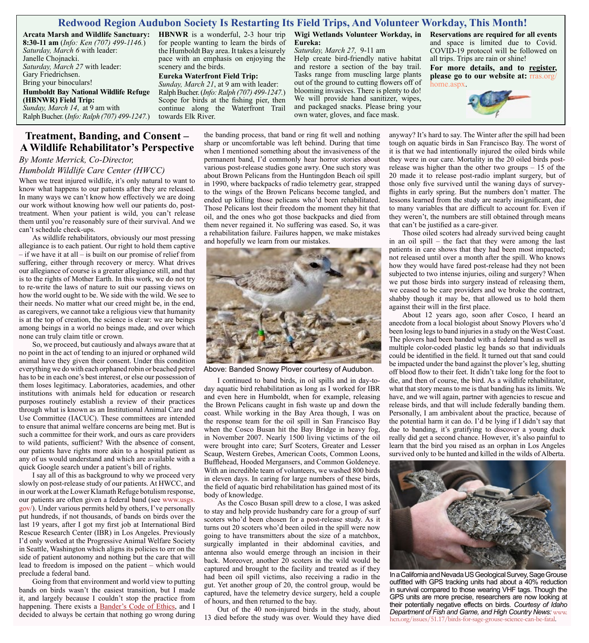## **Redwood Region Audubon Society Is Restarting Its Field Trips, And Volunteer Workday, This Month!**

| <b>Arcata Marsh and Wildlife Sanctuary:</b>          |  |
|------------------------------------------------------|--|
| 8:30-11 am (Info: Ken (707) 499-1146.)               |  |
| Saturday, March 6 with leader:                       |  |
| Janelle Chojnacki.                                   |  |
| Saturday, March 27 with leader:                      |  |
| Gary Friedrichsen.                                   |  |
| Bring your binoculars!                               |  |
| <b>Humboldt Bay National Wildlife Refuge</b>         |  |
| (HBNWR) Field Trip:                                  |  |
| Sunday, March 14, at 9 am with                       |  |
| Ralph Bucher. ( <i>Info: Ralph (707) 499-1247</i> .) |  |

**HBNWR** is a wonderful, 2-3 hour trip for people wanting to learn the birds of the Humboldt Bay area. It takes a leisurely pace with an emphasis on enjoying the scenery and the birds.

**Eureka Waterfront Field Trip:** *Sunday, March 21*, at 9 am with leader: Ralph Bucher. (*Info: Ralph (707) 499-1247.*) Scope for birds at the fishing pier, then continue along the Waterfront Trail owards Elk River.

#### **Wigi Wetlands Volunteer Workday, in Reservations are required for all events Eureka:**

*Saturday, March 27,* 9-11 am

Help create bird-friendly native habitat and restore a section of the bay trail. Tasks range from muscling large plants out of the ground to cutting flowers off of blooming invasives. There is plenty to do! We will provide hand sanitizer, wipes, and packaged snacks. Please bring your own water, gloves, and face mask.

and space is limited due to Covid. COVID-19 protocol will be followed on all trips. Trips are rain or shine!

**For more details, and to [register,](http://rras.org/home.aspx) please go to our website at:** rras.org/ [home.aspx.](http://rras.org/home.aspx)



# **Treatment, Banding, and Consent – A Wildlife Rehabilitator's Perspective**

#### *By Monte Merrick, Co-Director, Humboldt Wildlife Care Center (HWCC)*

When we treat injured wildlife, it's only natural to want to know what happens to our patients after they are released. In many ways we can't know how effectively we are doing our work without knowing how well our patients do, posttreatment. When your patient is wild, you can't release them until you're reasonably sure of their survival. And we can't schedule check-ups.

As wildlife rehabilitators, obviously our most pressing allegiance is to each patient. Our right to hold them captive – if we have it at all – is built on our promise of relief from suffering, either through recovery or mercy. What drives our allegiance of course is a greater allegiance still, and that is to the rights of Mother Earth. In this work, we do not try to re-write the laws of nature to suit our passing views on how the world ought to be. We side with the wild. We see to their needs. No matter what our creed might be, in the end, as caregivers, we cannot take a religious view that humanity is at the top of creation, the science is clear: we are beings among beings in a world no beings made, and over which none can truly claim title or crown.

So, we proceed, but cautiously and always aware that at no point in the act of tending to an injured or orphaned wild animal have they given their consent. Under this condition everything we do with each orphaned robin or beached petrel has to be in each one's best interest, or else our possession of them loses legitimacy. Laboratories, academies, and other institutions with animals held for education or research purposes routinely establish a review of their practices through what is known as an Institutional Animal Care and Use Committee (IACUC). These committees are intended to ensure that animal welfare concerns are being met. But is such a committee for their work, and ours as care providers to wild patients, sufficient? With the absence of consent, our patients have rights more akin to a hospital patient as any of us would understand and which are available with a quick Google search under a patient's bill of rights.

I say all of this as background to why we proceed very slowly on post-release study of our patients. At HWCC, and in our work at the Lower Klamath Refuge botulism response, our patients are often given a federal band (see [www.usgs.](https://www.usgs.gov/labs/birdb-lab/science/general-permit-information?qt-science_center_objects=0#qt-science_center_objects) [gov/](https://www.usgs.gov/labs/birdb-lab/science/general-permit-information?qt-science_center_objects=0#qt-science_center_objects)). Under various permits held by others, I've personally put hundreds, if not thousands, of bands on birds over the last 19 years, after I got my first job at International Bird Rescue Research Center (IBR) in Los Angeles. Previously I'd only worked at the Progressive Animal Welfare Society in Seattle, Washington which aligns its policies to err on the side of patient autonomy and nothing but the care that will lead to freedom is imposed on the patient – which would preclude a federal band.

Going from that environment and world view to putting bands on birds wasn't the easiest transition, but I made it, and largely because I couldn't stop the practice from happening. There exists a [Bander's Code of Ethics](https://www.usgs.gov/centers/pwrc/science/ethics-and-responsibilities-bird-banders?qt-science_center_objects=0#qt-science_center_objects), and I decided to always be certain that nothing go wrong during

the banding process, that band or ring fit well and nothing sharp or uncomfortable was left behind. During that time when I mentioned something about the invasiveness of the permanent band, I'd commonly hear horror stories about various post-release studies gone awry. One such story was about Brown Pelicans from the Huntingdon Beach oil spill in 1990, where backpacks of radio telemetry gear, strapped to the wings of the Brown Pelicans become tangled, and ended up killing those pelicans who'd been rehabilitated. Those Pelicans lost their freedom the moment they hit that oil, and the ones who got those backpacks and died from them never regained it. No suffering was eased. So, it was a rehabilitation failure. Failures happen, we make mistakes and hopefully we learn from our mistakes.



Above: Banded Snowy Plover courtesy of Audubon.

I continued to band birds, in oil spills and in day-today aquatic bird rehabilitation as long as I worked for IBR and even here in Humboldt, when for example, releasing the Brown Pelicans caught in fish waste up and down the coast. While working in the Bay Area though, I was on the response team for the oil spill in San Francisco Bay when the Cosco Busan hit the Bay Bridge in heavy fog, in November 2007. Nearly 1500 living victims of the oil were brought into care; Surf Scoters, Greater and Lesser Scaup, Western Grebes, American Coots, Common Loons, Bufflehead, Hooded Mergansers, and Common Goldeneye. With an incredible team of volunteers, we washed 800 birds in eleven days. In caring for large numbers of these birds, the field of aquatic bird rehabilitation has gained most of its body of knowledge.

As the Cosco Busan spill drew to a close, I was asked to stay and help provide husbandry care for a group of surf scoters who'd been chosen for a post-release study. As it turns out 20 scoters who'd been oiled in the spill were now going to have transmitters about the size of a matchbox, surgically implanted in their abdominal cavities, and antenna also would emerge through an incision in their back. Moreover, another 20 scoters in the wild would be captured and brought to the facility and treated as if they had been oil spill victims, also receiving a radio in the gut. Yet another group of 20, the control group, would be captured, have the telemetry device surgery, held a couple of hours, and then returned to the bay.

Out of the 40 non-injured birds in the study, about 13 died before the study was over. Would they have died anyway? It's hard to say. The Winter after the spill had been tough on aquatic birds in San Francisco Bay. The worst of it is that we had intentionally injured the oiled birds while they were in our care. Mortality in the 20 oiled birds postrelease was higher than the other two groups – 15 of the 20 made it to release post-radio implant surgery, but of those only five survived until the waning days of surveyflights in early spring. But the numbers don't matter. The lessons learned from the study are nearly insignificant, due to many variables that are difficult to account for. Even if they weren't, the numbers are still obtained through means that can't be justified as a care-giver.

Those oiled scoters had already survived being caught in an oil spill – the fact that they were among the last patients in care shows that they had been most impacted; not released until over a month after the spill. Who knows how they would have fared post-release had they not been subjected to two intense injuries, oiling and surgery? When we put those birds into surgery instead of releasing them, we ceased to be care providers and we broke the contract, shabby though it may be, that allowed us to hold them against their will in the first place.

About 12 years ago, soon after Cosco, I heard an anecdote from a local biologist about Snowy Plovers who'd been losing legs to band injuries in a study on the West Coast. The plovers had been banded with a federal band as well as multiple color-coded plastic leg bands so that individuals could be identified in the field. It turned out that sand could be impacted under the band against the plover's leg, shutting off blood flow to their feet. It didn't take long for the foot to die, and then of course, the bird. As a wildlife rehabilitator, what that story means to me is that banding has its limits. We have, and we will again, partner with agencies to rescue and release birds, and that will include federally banding them. Personally, I am ambivalent about the practice, because of the potential harm it can do. I'd be lying if I didn't say that due to banding, it's gratifying to discover a young duck really did get a second chance. However, it's also painful to learn that the bird you raised as an orphan in Los Angeles survived only to be hunted and killed in the wilds of Alberta.



In a California and Nevada US Geological Survey, Sage Grouse outfitted with GPS tracking units had about a 40% reduction in survival compared to those wearing VHF tags. Though the GPS units are more precise, researchers are now looking at their potentially negative effects on birds. *Courtesy of Idaho Department of Fish and Game, and High Country News: [www.](https://www.hcn.org/issues/51.17/birds-for-sage-grouse-science-can-be-fatal)* [hcn.org/issues/51.17/birds-for-sage-grouse-science-can-be-fatal.](https://www.hcn.org/issues/51.17/birds-for-sage-grouse-science-can-be-fatal)